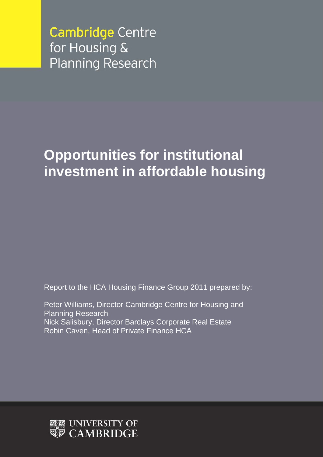**Cambridge Centre** for Housing & **Planning Research** 

# **Opportunities for institutional investment in affordable housing**

Report to the HCA Housing Finance Group 2011 prepared by:

Peter Williams, Director Cambridge Centre for Housing and Planning Research Nick Salisbury, Director Barclays Corporate Real Estate Robin Caven, Head of Private Finance HCA

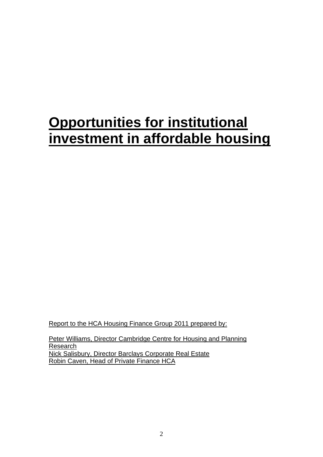# **Opportunities for institutional investment in affordable housing**

Report to the HCA Housing Finance Group 2011 prepared by:

Peter Williams, Director Cambridge Centre for Housing and Planning Research Nick Salisbury, Director Barclays Corporate Real Estate Robin Caven, Head of Private Finance HCA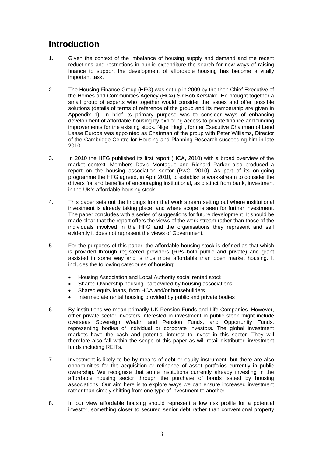# **Introduction**

- 1. Given the context of the imbalance of housing supply and demand and the recent reductions and restrictions in public expenditure the search for new ways of raising finance to support the development of affordable housing has become a vitally important task.
- 2. The Housing Finance Group (HFG) was set up in 2009 by the then Chief Executive of the Homes and Communities Agency (HCA) Sir Bob Kerslake. He brought together a small group of experts who together would consider the issues and offer possible solutions (details of terms of reference of the group and its membership are given in Appendix 1). In brief its primary purpose was to consider ways of enhancing development of affordable housing by exploring access to private finance and funding improvements for the existing stock. Nigel Hugill, former Executive Chairman of Lend Lease Europe was appointed as Chairman of the group with Peter Williams, Director of the Cambridge Centre for Housing and Planning Research succeeding him in late 2010.
- 3. In 2010 the HFG published its first report (HCA, 2010) with a broad overview of the market context. Members David Montague and Richard Parker also produced a report on the housing association sector (PwC, 2010). As part of its on-going programme the HFG agreed, in April 2010, to establish a work-stream to consider the drivers for and benefits of encouraging institutional, as distinct from bank, investment in the UK's affordable housing stock.
- 4. This paper sets out the findings from that work stream setting out where institutional investment is already taking place, and where scope is seen for further investment. The paper concludes with a series of suggestions for future development. It should be made clear that the report offers the views of the work stream rather than those of the individuals involved in the HFG and the organisations they represent and self evidently it does not represent the views of Government.
- 5. For the purposes of this paper, the affordable housing stock is defined as that which is provided through registered providers (RPs–both public and private) and grant assisted in some way and is thus more affordable than open market housing. It includes the following categories of housing:
	- Housing Association and Local Authority social rented stock
	- Shared Ownership housing part owned by housing associations
	- Shared equity loans, from HCA and/or housebuilders
	- Intermediate rental housing provided by public and private bodies
- 6. By institutions we mean primarily UK Pension Funds and Life Companies. However, other private sector investors interested in investment in public stock might include overseas Sovereign Wealth and Pension Funds, and Opportunity Funds, representing bodies of individual or corporate investors. The global investment markets have the cash and potential interest to invest in this sector. They will therefore also fall within the scope of this paper as will retail distributed investment funds including REITs.
- 7. Investment is likely to be by means of debt or equity instrument, but there are also opportunities for the acquisition or refinance of asset portfolios currently in public ownership. We recognise that some institutions currently already investing in the affordable housing sector through the purchase of bonds issued by housing associations. Our aim here is to explore ways we can ensure increased investment rather than simply shifting from one type of investment to another.
- 8. In our view affordable housing should represent a low risk profile for a potential investor, something closer to secured senior debt rather than conventional property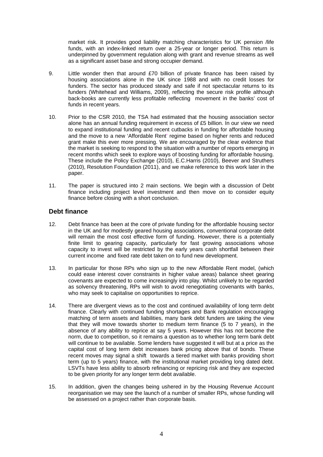market risk. It provides good liability matching characteristics for UK pension /life funds, with an index-linked return over a 25-year or longer period. This return is underpinned by government regulation along with grant and revenue streams as well as a significant asset base and strong occupier demand.

- 9. Little wonder then that around £70 billion of private finance has been raised by housing associations alone in the UK since 1988 and with no credit losses for funders. The sector has produced steady and safe if not spectacular returns to its funders (Whitehead and Williams, 2009), reflecting the secure risk profile although back-books are currently less profitable reflecting movement in the banks' cost of funds in recent years.
- 10. Prior to the CSR 2010, the TSA had estimated that the housing association sector alone has an annual funding requirement in excess of £5 billion. In our view we need to expand institutional funding and recent cutbacks in funding for affordable housing and the move to a new 'Affordable Rent' regime based on higher rents and reduced grant make this ever more pressing. We are encouraged by the clear evidence that the market is seeking to respond to the situation with a number of reports emerging in recent months which seek to explore ways of boosting funding for affordable housing. These include the Policy Exchange (2010), E.C.Harris (2010), Beever and Struthers (2010), Resolution Foundation (2011), and we make reference to this work later in the paper.
- 11. The paper is structured into 2 main sections. We begin with a discussion of Debt finance including project level investment and then move on to consider equity finance before closing with a short conclusion.

## **Debt finance**

- 12. Debt finance has been at the core of private funding for the affordable housing sector in the UK and for modestly geared housing associations, conventional corporate debt will remain the most cost effective form of funding. However, there is a potentially finite limit to gearing capacity, particularly for fast growing associations whose capacity to invest will be restricted by the early years cash shortfall between their current income and fixed rate debt taken on to fund new development.
- 13. In particular for those RPs who sign up to the new Affordable Rent model, (which could ease interest cover constraints in higher value areas) balance sheet gearing covenants are expected to come increasingly into play. Whilst unlikely to be regarded as solvency threatening, RPs will wish to avoid renegotiating covenants with banks, who may seek to capitalise on opportunities to reprice.
- 14. There are divergent views as to the cost and continued availability of long term debt finance. Clearly with continued funding shortages and Bank regulation encouraging matching of term assets and liabilities, many bank debt funders are taking the view that they will move towards shorter to medium term finance (5 to 7 years), in the absence of any ability to reprice at say 5 years. However this has not become the norm, due to competition, so it remains a question as to whether long term bank debt will continue to be available. Some lenders have suggested it will but at a price as the capital cost of long term debt increases bank pricing above that of bonds. These recent moves may signal a shift towards a tiered market with banks providing short term (up to 5 years) finance, with the institutional market providing long dated debt. LSVTs have less ability to absorb refinancing or repricing risk and they are expected to be given priority for any longer term debt available.
- 15. In addition, given the changes being ushered in by the Housing Revenue Account reorganisation we may see the launch of a number of smaller RPs, whose funding will be assessed on a project rather than corporate basis.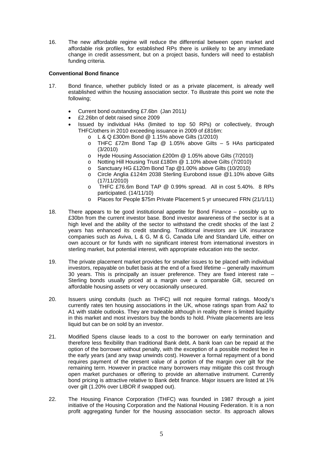16. The new affordable regime will reduce the differential between open market and affordable risk profiles, for established RPs there is unlikely to be any immediate change in credit assessment, but on a project basis, funders will need to establish funding criteria.

#### **Conventional Bond finance**

- 17. Bond finance, whether publicly listed or as a private placement, is already well established within the housing association sector. To illustrate this point we note the following;
	- Current bond outstanding £7.6bn (Jan 2011*)*
	- £2.26bn of debt raised since 2009
	- Issued by individual HAs (limited to top 50 RPs) or collectively, through THFC/others in 2010 exceeding issuance in 2009 of £816m:
		- $\circ$  L & Q £300m Bond @ 1.15% above Gilts (1/2010)
		- o THFC £72m Bond Tap @ 1.05% above Gilts 5 HAs participated (3/2010)
		- o Hyde Housing Association £200m @ 1.05% above Gilts (7/2010)
		- o Notting Hill Housing Trust £180m @ 1.10% above Gilts (7/2010)
		- o Sanctuary HG £120m Bond Tap @1.00% above Gilts (10/2010)
		- o Circle Anglia £124m 2038 Sterling Eurobond [issue @1.10%](mailto:issue@1.10%25) above Gilts (17/11/2010)
		- o THFC £76.6m Bond TAP @ 0.99% spread. All in cost 5.40%. 8 RPs participated. (14/11/10)
		- o Places for People \$75m Private Placement 5 yr unsecured FRN (21/1/11)
- 18. There appears to be good institutional appetite for Bond Finance possibly up to £30bn from the current investor base. Bond investor awareness of the sector is at a high level and the ability of the sector to withstand the credit shocks of the last 2 years has enhanced its credit standing. Traditional investors are UK insurance companies such as Aviva, L & G, M & G, Canada Life and Standard Life, either on own account or for funds with no significant interest from international investors in sterling market, but potential interest, with appropriate education into the sector.
- 19. The private placement market provides for smaller issues to be placed with individual investors, repayable on bullet basis at the end of a fixed lifetime – generally maximum 30 years. This is principally an issuer preference. They are fixed interest rate – Sterling bonds usually priced at a margin over a comparable Gilt, secured on affordable housing assets or very occasionally unsecured.
- 20. Issuers using conduits (such as THFC) will not require formal ratings. Moody's currently rates ten housing associations in the UK, whose ratings span from Aa2 to A1 with stable outlooks. They are tradeable although in reality there is limited liquidity in this market and most investors buy the bonds to hold. Private placements are less liquid but can be on sold by an investor.
- 21. Modified Spens clause leads to a cost to the borrower on early termination and therefore less flexibility than traditional Bank debt**.** A bank loan can be repaid at the option of the borrower without penalty, with the exception of a possible modest fee in the early years (and any swap unwinds cost). However a formal repayment of a bond requires payment of the present value of a portion of the margin over gilt for the remaining term. However in practice many borrowers may mitigate this cost through open market purchases or offering to provide an alternative instrument. Currently bond pricing is attractive relative to Bank debt finance. Major issuers are listed at 1% over gilt (1.20% over LIBOR if swapped out).
- 22. The Housing Finance Corporation (THFC) was founded in 1987 through a joint initiative of the Housing Corporation and the National Housing Federation. It is a non profit aggregating funder for the housing association sector. Its approach allows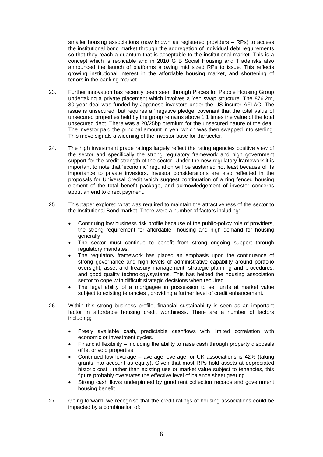smaller housing associations (now known as registered providers – RPs) to access the institutional bond market through the aggregation of individual debt requirements so that they reach a quantum that is acceptable to the institutional market. This is a concept which is replicable and in 2010 G B Social Housing and Traderisks also announced the launch of platforms allowing mid sized RPs to issue. This reflects growing institutional interest in the affordable housing market, and shortening of tenors in the banking market.

- 23. Further innovation has recently been seen through Places for People Housing Group undertaking a private placement which involves a Yen swap structure. The £76.2m, 30 year deal was funded by Japanese investors under the US insurer AFLAC. The issue is unsecured, but requires a 'negative pledge' covenant that the total value of unsecured properties held by the group remains above 1.1 times the value of the total unsecured debt. There was a 20/25bp premium for the unsecured nature of the deal. The investor paid the principal amount in yen, which was then swapped into sterling. This move signals a widening of the investor base for the sector.
- 24. The high investment grade ratings largely reflect the rating agencies positive view of the sector and specifically the strong regulatory framework and high government support for the credit strength of the sector. Under the new regulatory framework it is important to note that 'economic' regulation will be sustained not least because of its importance to private investors. Investor considerations are also reflected in the proposals for Universal Credit which suggest continuation of a ring fenced housing element of the total benefit package, and acknowledgement of investor concerns about an end to direct payment.
- 25. This paper explored what was required to maintain the attractiveness of the sector to the Institutional Bond market. There were a number of factors including:-
	- Continuing low business risk profile because of the public-policy role of providers, the strong requirement for affordable housing and high demand for housing generally
	- The sector must continue to benefit from strong ongoing support through regulatory mandates.
	- The regulatory framework has placed an emphasis upon the continuance of strong governance and high levels of administrative capability around portfolio oversight, asset and treasury management, strategic planning and procedures, and good quality technology/systems. This has helped the housing association sector to cope with difficult strategic decisions when required.
	- The legal ability of a mortgagee in possession to sell units at market value subject to existing tenancies , providing a further level of credit enhancement.
- 26. Within this strong business profile, financial sustainability is seen as an important factor in affordable housing credit worthiness. There are a number of factors including;
	- Freely available cash, predictable cashflows with limited correlation with economic or investment cycles.
	- Financial flexibility including the ability to raise cash through property disposals of let or void properties.
	- Continued low leverage average leverage for UK associations is 42% (taking grants into account as equity). Given that most RPs hold assets at depreciated historic cost , rather than existing use or market value subject to tenancies, this figure probably overstates the effective level of balance sheet gearing.
	- Strong cash flows underpinned by good rent collection records and government housing benefit
- 27. Going forward, we recognise that the credit ratings of housing associations could be impacted by a combination of: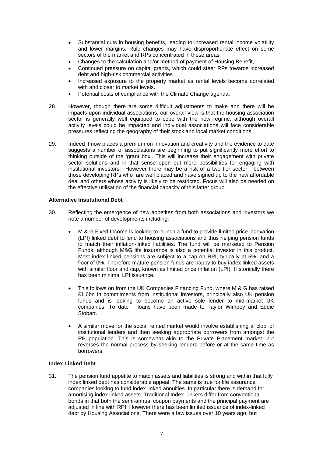- Substantial cuts in housing benefits, leading to increased rental income volatility and lower margins. Rule changes may have disproportionate effect on some sectors of the market and RPs concentrated in these areas.
- Changes to the calculation and/or method of payment of Housing Benefit,
- Continued pressure on capital grants, which could steer RPs towards increased debt and high-risk commercial activities
- Increased exposure to the property market as rental levels become correlated with and closer to market levels.
- Potential costs of compliance with the Climate Change agenda.
- 28. However, though there are some difficult adjustments to make and there will be impacts upon individual associations, our overall view is that the housing association sector is generally well equipped to cope with the new regime, although overall activity levels could be impacted and individual associations will face considerable pressures reflecting the geography of their stock and local market conditions.
- 29. Indeed it now places a premium on innovation and creativity and the evidence to date suggests a number of associations are beginning to put significantly more effort to thinking outside of the 'grant box'. This will increase their engagement with private sector solutions and in that sense open out more possibilities for engaging with institutional investors. However there may be a risk of a two tier sector - between those developing RPs who are well placed and have signed up to the new affordable deal and others whose activity is likely to be restricted. Focus will also be needed on the effective utilisation of the financial capacity of this latter group.

#### **Alternative Institutional Debt**

- 30. Reflecting the emergence of new appetites from both associations and investors we note a number of developments including;
	- M & G Fixed Income is looking to launch a fund to provide limited price indexation (LPI) linked debt to lend to housing associations and thus helping pension funds to match their inflation-linked liabilities. The fund will be marketed to Pension Funds, although M&G life insurance is also a potential investor in this product. Most index linked pensions are subject to a cap on RPI, typically at 5%, and a floor of 0%. Therefore mature pension funds are happy to buy index linked assets with similar floor and cap, known as limited price inflation (LPI). Historically there has been minimal LPI issuance.
	- This follows on from the UK Companies Financing Fund, where M & G has raised £1.6bn in commitments from institutional investors, principally also UK pension funds and is looking to become an active sole lender to mid-market UK companies. To date loans have been made to Taylor Wimpey and Eddie Stobart.
	- A similar move for the social rented market would involve establishing a 'club' of institutional lenders and then seeking appropriate borrowers from amongst the RP population. This is somewhat akin to the Private Placement market, but reverses the normal process by seeking lenders before or at the same time as borrowers.

#### **Index Linked Debt**

31. The pension fund appetite to match assets and liabilities is strong and within that fully index linked debt has considerable appeal. The same is true for life assurance companies looking to fund index linked annuities. In particular there is demand for amortising index linked assets. Traditional Index Linkers differ from conventional bonds in that both the semi-annual coupon payments and the principal payment are adjusted in line with RPI. However there has been limited issuance of index-linked debt by Housing Associations. There were a few issues over 10 years ago, but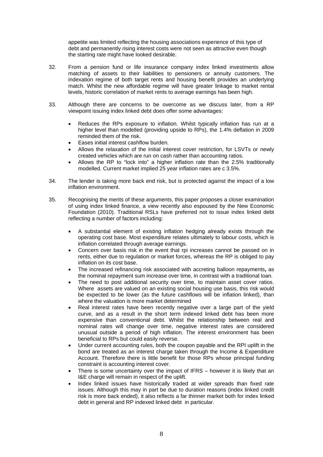appetite was limited reflecting the housing associations experience of this type of debt and permanently rising interest costs were not seen as attractive even though the starting rate might have looked desirable.

- 32. From a pension fund or life insurance company index linked investments allow matching of assets to their liabilities to pensioners or annuity customers. The indexation regime of both target rents and housing benefit provides an underlying match. Whilst the new affordable regime will have greater linkage to market rental levels, historic correlation of market rents to average earnings has been high.
- 33. Although there are concerns to be overcome as we discuss later, from a RP viewpoint issuing index linked debt does offer some advantages:
	- Reduces the RPs exposure to inflation. Whilst typically inflation has run at a higher level than modelled (providing upside to RPs), the 1.4% deflation in 2009 reminded them of the risk.
	- Eases initial interest cashflow burden.
	- Allows the relaxation of the initial interest cover restriction, for LSVTs or newly created vehicles which are run on cash rather than accounting ratios.
	- Allows the RP to "lock into" a higher inflation rate than the 2.5% traditionally modelled. Current market implied 25 year inflation rates are c 3.5%.
- 34. The lender is taking more back end risk, but is protected against the impact of a low inflation environment.
- 35. Recognising the merits of these arguments, this paper proposes a closer examination of using index linked finance, a view recently also espoused by the New Economic Foundation (2010). Traditional RSLs have preferred not to issue index linked debt reflecting a number of factors including:
	- A substantial element of existing inflation hedging already exists through the operating cost base. Most expenditure relates ultimately to labour costs, which is inflation correlated through average earnings.
	- Concern over basis risk in the event that rpi increases cannot be passed on in rents, either due to regulation or market forces, whereas the RP is obliged to pay inflation on its cost base.
	- The increased refinancing risk associated with accreting balloon repayments**,** as the nominal repayment sum increase over time, in contrast with a traditional loan.
	- The need to post additional security over time, to maintain asset cover ratios. Where assets are valued on an existing social housing use basis, this risk would be expected to be lower (as the future cashflows will be inflation linked), than where the valuation is more market determined
	- Real interest rates have been recently negative over a large part of the yield curve, and as a result in the short term indexed linked debt has been more expensive than conventional debt. Whilst the relationship between real and nominal rates will change over time, negative interest rates are considered unusual outside a period of high inflation. The interest environment has been beneficial to RPs but could easily reverse.
	- Under current accounting rules, both the coupon payable and the RPI uplift in the bond are treated as an interest charge taken through the Income & Expenditure Account. Therefore there is little benefit for those RPs whose principal funding constraint is accounting interest cover.
	- There is some uncertainty over the impact of IFRS however it is likely that an I&E charge will remain in respect of the uplift.
	- Index linked issues have historically traded at wider spreads than fixed rate issues. Although this may in part be due to duration reasons (index linked credit risk is more back ended), it also reflects a far thinner market both for index linked debt in general and RP indexed linked debt in particular.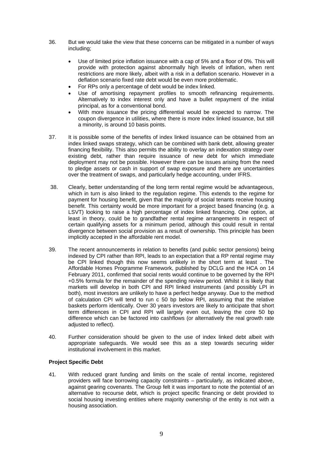- 36. But we would take the view that these concerns can be mitigated in a number of ways including;
	- Use of limited price inflation issuance with a cap of 5% and a floor of 0%. This will provide with protection against abnormally high levels of inflation, when rent restrictions are more likely, albeit with a risk in a deflation scenario. However in a deflation scenario fixed rate debt would be even more problematic.
	- For RPs only a percentage of debt would be index linked.
	- Use of amortising repayment profiles to smooth refinancing requirements. Alternatively to index interest only and have a bullet repayment of the initial principal, as for a conventional bond.
	- With more issuance the pricing differential would be expected to narrow. The coupon divergence in utilities, where there is more index linked issuance, but still a minority, is around 10 basis points.
- 37. It is possible some of the benefits of index linked issuance can be obtained from an index linked swaps strategy, which can be combined with bank debt, allowing greater financing flexibility. This also permits the ability to overlay an indexation strategy over existing debt, rather than require issuance of new debt for which immediate deployment may not be possible. However there can be issues arising from the need to pledge assets or cash in support of swap exposure and there are uncertainties over the treatment of swaps, and particularly hedge accounting, under IFRS.
- 38. Clearly, better understanding of the long term rental regime would be advantageous, which in turn is also linked to the regulation regime. This extends to the regime for payment for housing benefit, given that the majority of social tenants receive housing benefit. This certainty would be more important for a project based financing (e.g. a LSVT) looking to raise a high percentage of index linked financing. One option, at least in theory, could be to grandfather rental regime arrangements in respect of certain qualifying assets for a minimum period, although this could result in rental divergence between social provision as a result of ownership. This principle has been implicitly accepted in the affordable rent model.
- 39. The recent announcements in relation to benefits (and public sector pensions) being indexed by CPI rather than RPI, leads to an expectation that a RP rental regime may be CPI linked though this now seems unlikely in the short term at least . The Affordable Homes Programme Framework, published by DCLG and the HCA on 14 February 2011, confirmed that social rents would continue to be governed by the RPI +0.5% formula for the remainder of the spending review period. Whilst it is likely that markets will develop in both CPI and RPI linked instruments (and possibly LPI in both), most investors are unlikely to have a perfect hedge anyway. Due to the method of calculation CPI will tend to run c 50 bp below RPI, assuming that the relative baskets perform identically. Over 30 years investors are likely to anticipate that short term differences in CPI and RPI will largely even out, leaving the core 50 bp difference which can be factored into cashflows (or alternatively the real growth rate adiusted to reflect).
- 40. Further consideration should be given to the use of index linked debt albeit with appropriate safeguards. We would see this as a step towards securing wider institutional involvement in this market.

#### **Project Specific Debt**

41. With reduced grant funding and limits on the scale of rental income, registered providers will face borrowing capacity constraints – particularly, as indicated above, against gearing covenants. The Group felt it was important to note the potential of an alternative to recourse debt, which is project specific financing or debt provided to social housing investing entities where majority ownership of the entity is not with a housing association.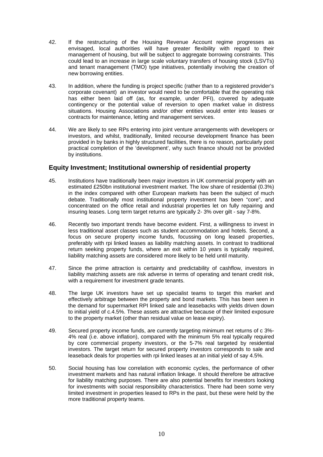- 42. If the restructuring of the Housing Revenue Account regime progresses as envisaged, local authorities will have greater flexibility with regard to their management of housing, but will be subject to aggregate borrowing constraints. This could lead to an increase in large scale voluntary transfers of housing stock (LSVTs) and tenant management (TMO) type initiatives, potentially involving the creation of new borrowing entities.
- 43. In addition, where the funding is project specific (rather than to a registered provider's corporate covenant) an investor would need to be comfortable that the operating risk has either been laid off (as, for example, under PFI), covered by adequate contingency or the potential value of reversion to open market value in distress situations. Housing Associations and/or other entities would enter into leases or contracts for maintenance, letting and management services.
- 44. We are likely to see RPs entering into joint venture arrangements with developers or investors, and whilst, traditionally, limited recourse development finance has been provided in by banks in highly structured facilities, there is no reason, particularly post practical completion of the 'development', why such finance should not be provided by institutions.

# **Equity Investment; Institutional ownership of residential property**

- 45. Institutions have traditionally been major investors in UK commercial property with an estimated £250bn institutional investment market. The low share of residential (0.3%) in the index compared with other European markets has been the subject of much debate. Traditionally most institutional property investment has been "core", and concentrated on the office retail and industrial properties let on fully repairing and insuring leases. Long term target returns are typically 2- 3% over gilt - say 7-8%.
- 46. Recently two important trends have become evident. First, a willingness to invest in less traditional asset classes such as student accommodation and hotels. Second, a focus on secure property income funds, focussing on long leased properties, preferably with rpi linked leases as liability matching assets. In contrast to traditional return seeking property funds, where an exit within 10 years is typically required, liability matching assets are considered more likely to be held until maturity.
- 47. Since the prime attraction is certainty and predictability of cashflow, investors in liability matching assets are risk adverse in terms of operating and tenant credit risk, with a requirement for investment grade tenants.
- 48. The large UK investors have set up specialist teams to target this market and effectively arbitrage between the property and bond markets. This has been seen in the demand for supermarket RPI linked sale and leasebacks with yields driven down to initial yield of c.4.5%. These assets are attractive because of their limited exposure to the property market (other than residual value on lease expiry).
- 49. Secured property income funds, are currently targeting minimum net returns of c 3%- 4% real (i.e. above inflation), compared with the minimum 5% real typically required by core commercial property investors, or the 5-7% real targeted by residential investors. The target return for secured property investors corresponds to sale and leaseback deals for properties with rpi linked leases at an initial yield of say 4.5%.
- 50. Social housing has low correlation with economic cycles, the performance of other investment markets and has natural inflation linkage. It should therefore be attractive for liability matching purposes. There are also potential benefits for investors looking for investments with social responsibility characteristics. There had been some very limited investment in properties leased to RPs in the past, but these were held by the more traditional property teams.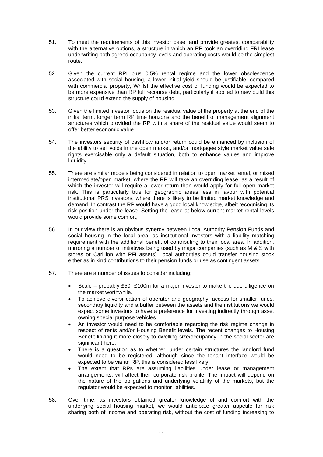- 51. To meet the requirements of this investor base, and provide greatest comparability with the alternative options, a structure in which an RP took an overriding FRI lease underwriting both agreed occupancy levels and operating costs would be the simplest route.
- 52. Given the current RPI plus 0.5% rental regime and the lower obsolescence associated with social housing, a lower initial yield should be justifiable, compared with commercial property, Whilst the effective cost of funding would be expected to be more expensive than RP full recourse debt, particularly if applied to new build this structure could extend the supply of housing.
- 53. Given the limited investor focus on the residual value of the property at the end of the initial term, longer term RP time horizons and the benefit of management alignment structures which provided the RP with a share of the residual value would seem to offer better economic value.
- 54. The investors security of cashflow and/or return could be enhanced by inclusion of the ability to sell voids in the open market, and/or mortgagee style market value sale rights exercisable only a default situation, both to enhance values and improve liquidity.
- 55. There are similar models being considered in relation to open market rental, or mixed intermediate/open market, where the RP will take an overriding lease, as a result of which the investor will require a lower return than would apply for full open market risk. This is particularly true for geographic areas less in favour with potential institutional PRS investors, where there is likely to be limited market knowledge and demand. In contrast the RP would have a good local knowledge, albeit recognising its risk position under the lease. Setting the lease at below current market rental levels would provide some comfort,
- 56. In our view there is an obvious synergy between Local Authority Pension Funds and social housing in the local area, as institutional investors with a liability matching requirement with the additional benefit of contributing to their local area. In addition, mirroring a number of initiatives being used by major companies (such as M & S with stores or Carillion with PFI assets) Local authorities could transfer housing stock either as in kind contributions to their pension funds or use as contingent assets.
- 57. There are a number of issues to consider including;
	- Scale probably £50- £100m for a major investor to make the due diligence on the market worthwhile.
	- To achieve diversification of operator and geography, access for smaller funds, secondary liquidity and a buffer between the assets and the institutions we would expect some investors to have a preference for investing indirectly through asset owning special purpose vehicles.
	- An investor would need to be comfortable regarding the risk regime change in respect of rents and/or Housing Benefit levels. The recent changes to Housing Benefit linking it more closely to dwelling size/occupancy in the social sector are significant here.
	- There is a question as to whether, under certain structures the landlord fund would need to be registered, although since the tenant interface would be expected to be via an RP, this is considered less likely.
	- The extent that RPs are assuming liabilities under lease or management arrangements, will affect their corporate risk profile. The impact will depend on the nature of the obligations and underlying volatility of the markets, but the regulator would be expected to monitor liabilities.
- 58. Over time, as investors obtained greater knowledge of and comfort with the underlying social housing market, we would anticipate greater appetite for risk sharing both of income and operating risk, without the cost of funding increasing to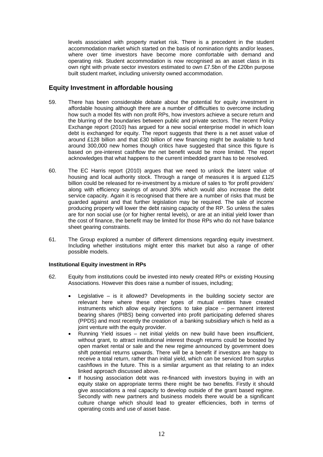levels associated with property market risk. There is a precedent in the student accommodation market which started on the basis of nomination rights and/or leases, where over time investors have become more comfortable with demand and operating risk. Student accommodation is now recognised as an asset class in its own right with private sector investors estimated to own £7.5bn of the £20bn purpose built student market, including university owned accommodation.

# **Equity Investment in affordable housing**

- 59. There has been considerable debate about the potential for equity investment in affordable housing although there are a number of difficulties to overcome including how such a model fits with non profit RPs, how investors achieve a secure return and the blurring of the boundaries between public and private sectors. The recent Policy Exchange report (2010) has argued for a new social enterprise model in which loan debt is exchanged for equity. The report suggests that there is a net asset value of around £128 billion and that £30 billion of new financing might be available to fund around 300,000 new homes though critics have suggested that since this figure is based on pre-interest cashflow the net benefit would be more limited. The report acknowledges that what happens to the current imbedded grant has to be resolved.
- 60. The EC Harris report (2010) argues that we need to unlock the latent value of housing and local authority stock. Through a range of measures it is argued £125 billion could be released for re-investment by a mixture of sales to 'for profit providers' along with efficiency savings of around 30% which would also increase the debt service capacity. Again it is recognised that there are a number of risks that must be guarded against and that further legislation may be required. The sale of income producing property will lower the debt raising capacity of the RP. So unless the sales are for non social use (or for higher rental levels), or are at an initial yield lower than the cost of finance, the benefit may be limited for those RPs who do not have balance sheet gearing constraints.
- 61. The Group explored a number of different dimensions regarding equity investment. Including whether institutions might enter this market but also a range of other possible models.

#### **Institutional Equity investment in RPs**

- 62. Equity from institutions could be invested into newly created RPs or existing Housing Associations. However this does raise a number of issues, including;
	- Legislative  $-$  is it allowed? Developments in the building society sector are relevant here where these other types of mutual entities have created instruments which allow equity injections to take place – permanent interest bearing shares (PIBS) being converted into profit participating deferred shares (PPDS) and most recently the creation of a banking subsidiary which is held as a joint venture with the equity provider.
	- Running Yield issues net initial yields on new build have been insufficient, without grant, to attract institutional interest though returns could be boosted by open market rental or sale and the new regime announced by government does shift potential returns upwards. There will be a benefit if investors are happy to receive a total return, rather than initial yield, which can be serviced from surplus cashflows in the future. This is a similar argument as that relating to an index linked approach discussed above.
	- If housing association debt was re-financed with investors buying in with an equity stake on appropriate terms there might be two benefits. Firstly it should give associations a real capacity to develop outside of the grant based regime. Secondly with new partners and business models there would be a significant culture change which should lead to greater efficiencies, both in terms of operating costs and use of asset base.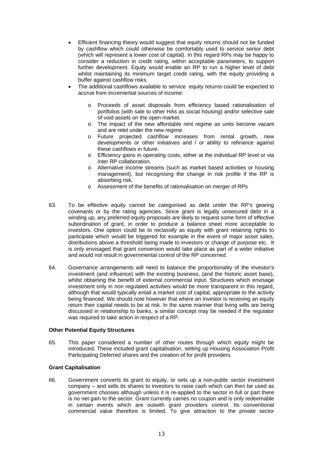- Efficient financing theory would suggest that equity returns should not be funded by cashflow which could otherwise be comfortably used to service senior debt (which will represent a lower cost of capital). In this regard RPs may be happy to consider a reduction in credit rating, within acceptable parameters, to support further development. Equity would enable an RP to run a higher level of debt whilst maintaining its minimum target credit rating, with the equity providing a buffer against cashflow risks.
- The additional cashflows available to service equity returns could be expected to accrue from incremental sources of income:
	- o Proceeds of asset disposals from efficiency based rationalisation of portfolios (with sale to other HAs as social housing) and/or selective sale of void assets on the open market.
	- o The impact of the new affordable rent regime as units become vacant and are relet under the new regime.
	- o Future projected cashflow increases from rental growth, new developments or other initiatives and / or ability to refinance against these cashflows in future.
	- o Efficiency gains in operating costs, either at the individual RP level or via inter RP collaboration.
	- o Alternative income streams (such as market based activities or housing management), but recognising the change in risk profile if the RP is absorbing risk.
	- o Assessment of the benefits of rationalisation on merger of RPs
- 63. To be effective equity cannot be categorised as debt under the RP's gearing covenants or by the rating agencies. Since grant is legally unsecured debt in a winding up, any preferred equity proposals are likely to request some form of effective subordination of grant, in order to produce a balance sheet more acceptable to investors. One option could be to reclassify as equity with grant retaining rights to participate which would be triggered for example in the event of major asset sales, distributions above a threshold being made to investors or change of purpose etc. It is only envisaged that grant conversion would take place as part of a wider initiative and would not result in governmental control of the RP concerned.
- 64. Governance arrangements will need to balance the proportionality of the investor's investment (and influence) with the existing business, (and the historic asset base), whilst obtaining the benefit of external commercial input. Structures which envisage investment only in non regulated activities would be more transparent in this regard, although that would typically entail a market cost of capital, appropriate to the activity being financed. We should note however that where an investor is receiving an equity return their capital needs to be at risk. In the same manner that living wills are being discussed in relationship to banks, a similar concept may be needed if the regulator was required to take action in respect of a RP.

#### **Other Potential Equity Structures**

65. This paper considered a number of other routes through which equity might be introduced**.** These included grant capitalisation, setting up Housing Association Profit Participating Deferred shares and the creation of for profit providers.

#### **Grant Capitalisation**

66. Government converts its grant to equity, or sets up a non-public sector investment company – and sells its shares to investors to raise cash which can then be used as government chooses although unless it is re-applied to the sector in full or part there is no net gain to the sector. Grant currently carries no coupon and is only redeemable in certain events which are outwith grant providers control. Its conventional commercial value therefore is limited. To give attraction to the private sector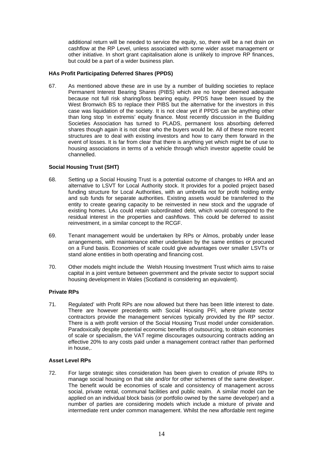additional return will be needed to service the equity, so, there will be a net drain on cashflow at the RP Level, unless associated with some wider asset management or other initiative. In short grant capitalisation alone is unlikely to improve RP finances, but could be a part of a wider business plan.

#### **HAs Profit Participating Deferred Shares (PPDS)**

67. As mentioned above these are in use by a number of building societies to replace Permanent Interest Bearing Shares (PIBS) which are no longer deemed adequate because not full risk sharing/loss bearing equity. PPDS have been issued by the West Bromwich BS to replace their PIBS but the alternative for the investors in this case was liquidation of the society. It is not clear yet if PPDS can be anything other than long stop 'in extremis' equity finance. Most recently discussion in the Building Societies Association has turned to PLADS, permanent loss absorbing deferred shares though again it is not clear who the buyers would be. All of these more recent structures are to deal with existing investors and how to carry them forward in the event of losses. It is far from clear that there is anything yet which might be of use to housing associations in terms of a vehicle through which investor appetite could be channelled.

### **Social Housing Trust (SHT)**

- 68. Setting up a Social Housing Trust is a potential outcome of changes to HRA and an alternative to LSVT for Local Authority stock. It provides for a pooled project based funding structure for Local Authorities, with an umbrella not for profit holding entity and sub funds for separate authorities. Existing assets would be transferred to the entity to create gearing capacity to be reinvested in new stock and the upgrade of existing homes. LAs could retain subordinated debt, which would correspond to the residual interest in the properties and cashflows. This could be deferred to assist reinvestment, in a similar concept to the RCGF.
- 69. Tenant management would be undertaken by RPs or Almos, probably under lease arrangements, with maintenance either undertaken by the same entities or procured on a Fund basis. Economies of scale could give advantages over smaller LSVTs or stand alone entities in both operating and financing cost.
- 70. Other models might include the Welsh Housing Investment Trust which aims to raise capital in a joint venture between government and the private sector to support social housing development in Wales (Scotland is considering an equivalent).

#### **Private RPs**

71. Regulated' with Profit RPs are now allowed but there has been little interest to date. There are however precedents with Social Housing PFI, where private sector contractors provide the management services typically provided by the RP sector. There is a with profit version of the Social Housing Trust model under consideration. Paradoxically despite potential economic benefits of outsourcing, to obtain economies of scale or specialism, the VAT regime discourages outsourcing contracts adding an effective 20% to any costs paid under a management contract rather than performed in house,.

#### **Asset Level RPs**

72. For large strategic sites consideration has been given to creation of private RPs to manage social housing on that site and/or for other schemes of the same developer. The benefit would be economies of scale and consistency of management across social, private rental, communal facilities and public realm. A similar model can be applied on an individual block basis (or portfolio owned by the same developer) and a number of parties are considering models which include a mixture of private and intermediate rent under common management. Whilst the new affordable rent regime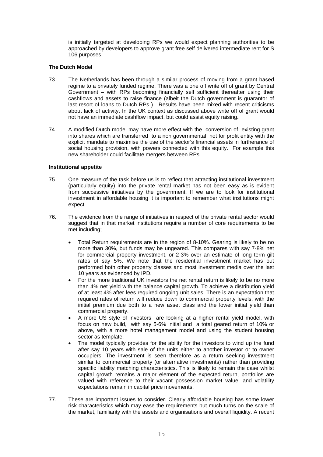is initially targeted at developing RPs we would expect planning authorities to be approached by developers to approve grant free self delivered intermediate rent for S 106 purposes.

#### **The Dutch Model**

- 73. The Netherlands has been through a similar process of moving from a grant based regime to a privately funded regime. There was a one off write off of grant by Central Government – with RPs becoming financially self sufficient thereafter using their cashflows and assets to raise finance (albeit the Dutch government is guarantor of last resort of loans to Dutch RPs ). Results have been mixed with recent criticisms about lack of activity. In the UK context as discussed above write off of grant would not have an immediate cashflow impact, but could assist equity raising**.**
- 74. A modified Dutch model may have more effect with the conversion of existing grant into shares which are transferred to a non governmental not for profit entity with the explicit mandate to maximise the use of the sector's financial assets in furtherance of social housing provision, with powers connected with this equity. For example this new shareholder could facilitate mergers between RPs.

#### **Institutional appetite**

- 75. One measure of the task before us is to reflect that attracting institutional investment (particularly equity) into the private rental market has not been easy as is evident from successive initiatives by the government. If we are to look for institutional investment in affordable housing it is important to remember what institutions might expect.
- 76. The evidence from the range of initiatives in respect of the private rental sector would suggest that in that market institutions require a number of core requirements to be met including;
	- Total Return requirements are in the region of 8-10%. Gearing is likely to be no more than 30%, but funds may be ungeared. This compares with say 7-8% net for commercial property investment, or 2-3% over an estimate of long term gilt rates of say 5%. We note that the residential investment market has out performed both other property classes and most investment media over the last 10 years as evidenced by IPD.
	- For the more traditional UK investors the net rental return is likely to be no more than 4% net yield with the balance capital growth. To achieve a distribution yield of at least 4% after fees required ongoing unit sales. There is an expectation that required rates of return will reduce down to commercial property levels, with the initial premium due both to a new asset class and the lower initial yield than commercial property.
	- A more US style of investors are looking at a higher rental yield model, with focus on new build, with say 5-6% initial and a total geared return of 10% or above, with a more hotel management model and using the student housing sector as template.
	- The model typically provides for the ability for the investors to wind up the fund after say 10 years with sale of the units either to another investor or to owner occupiers. The investment is seen therefore as a return seeking investment similar to commercial property (or alternative investments) rather than providing specific liability matching characteristics. This is likely to remain the case whilst capital growth remains a major element of the expected return, portfolios are valued with reference to their vacant possession market value, and volatility expectations remain in capital price movements.
- 77. These are important issues to consider. Clearly affordable housing has some lower risk characteristics which may ease the requirements but much turns on the scale of the market, familiarity with the assets and organisations and overall liquidity. A recent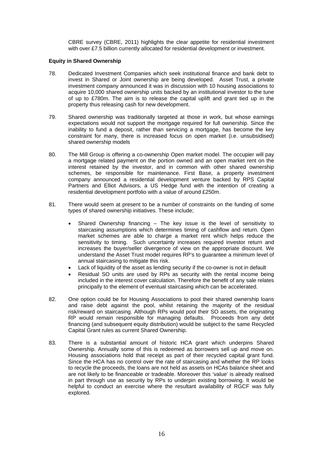CBRE survey (CBRE, 2011) highlights the clear appetite for residential investment with over £7.5 billion currently allocated for residential development or investment.

#### **Equity in Shared Ownership**

- 78. Dedicated Investment Companies which seek institutional finance and bank debt to invest in Shared or Joint ownership are being developed. Asset Trust, a private investment company announced it was in discussion with 10 housing associations to acquire 10,000 shared ownership units backed by an institutional investor to the tune of up to £780m. The aim is to release the capital uplift and grant tied up in the property thus releasing cash for new development.
- 79. Shared ownership was traditionally targeted at those in work, but whose earnings expectations would not support the mortgage required for full ownership. Since the inability to fund a deposit, rather than servicing a mortgage, has become the key constraint for many, there is increased focus on open market (i.e. unsubsidised) shared ownership models
- 80. The Mill Group is offering a co-ownership Open market model. The occupier will pay a mortgage related payment on the portion owned and an open market rent on the interest retained by the investor, and in common with other shared ownership schemes, be responsible for maintenance. First Base, a property investment company announced a residential development venture backed by RPS Capital Partners and Elliot Advisors, a US Hedge fund with the intention of creating a residential development portfolio with a value of around £250m.
- 81. There would seem at present to be a number of constraints on the funding of some types of shared ownership initiatives. These include;
	- Shared Ownership financing The key issue is the level of sensitivity to staircasing assumptions which determines timing of cashflow and return. Open market schemes are able to charge a market rent which helps reduce the sensitivity to timing. Such uncertainty increases required investor return and increases the buyer/seller divergence of view on the appropriate discount. We understand the Asset Trust model requires RP's to guarantee a minimum level of annual staircasing to mitigate this risk.
	- Lack of liquidity of the asset as lending security if the co-owner is not in default
	- Residual SO units are used by RPs as security with the rental income being included in the interest cover calculation. Therefore the benefit of any sale relates principally to the element of eventual staircasing which can be accelerated.
- 82. One option could be for Housing Associations to pool their shared ownership loans and raise debt against the pool, whilst retaining the majority of the residual risk/reward on staircasing. Although RPs would pool their SO assets, the originating RP would remain responsible for managing defaults. Proceeds from any debt financing (and subsequent equity distribution) would be subject to the same Recycled Capital Grant rules as current Shared Ownership.
- 83. There is a substantial amount of historic HCA grant which underpins Shared Ownership. Annually some of this is redeemed as borrowers sell up and move on. Housing associations hold that receipt as part of their recycled capital grant fund. Since the HCA has no control over the rate of staircasing and whether the RP looks to recycle the proceeds, the loans are not held as assets on HCAs balance sheet and are not likely to be financeable or tradeable. Moreover this 'value' is already realised in part through use as security by RPs to underpin existing borrowing. It would be helpful to conduct an exercise where the resultant availability of RGCF was fully explored*.*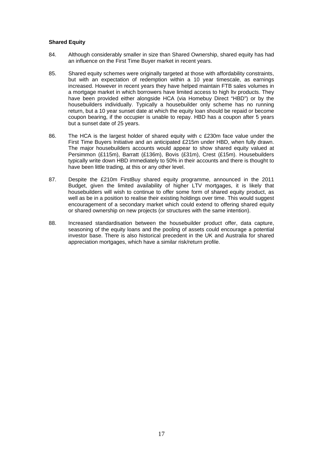#### **Shared Equity**

- 84. Although considerably smaller in size than Shared Ownership, shared equity has had an influence on the First Time Buyer market in recent years.
- 85. Shared equity schemes were originally targeted at those with affordability constraints, but with an expectation of redemption within a 10 year timescale, as earnings increased. However in recent years they have helped maintain FTB sales volumes in a mortgage market in which borrowers have limited access to high ltv products. They have been provided either alongside HCA (via Homebuy Direct "HBD") or by the housebuilders individually. Typically a housebuilder only scheme has no running return, but a 10 year sunset date at which the equity loan should be repaid or become coupon bearing, if the occupier is unable to repay. HBD has a coupon after 5 years but a sunset date of 25 years.
- 86. The HCA is the largest holder of shared equity with c £230m face value under the First Time Buyers Initiative and an anticipated £215m under HBD, when fully drawn. The major housebuilders accounts would appear to show shared equity valued at Persimmon (£115m), Barratt (£136m), Bovis (£31m), Crest (£15m). Housebuilders typically write down HBD immediately to 50% in their accounts and there is thought to have been little trading, at this or any other level.
- 87. Despite the £210m FirstBuy shared equity programme, announced in the 2011 Budget, given the limited availability of higher LTV mortgages, it is likely that housebuilders will wish to continue to offer some form of shared equity product, as well as be in a position to realise their existing holdings over time. This would suggest encouragement of a secondary market which could extend to offering shared equity or shared ownership on new projects (or structures with the same intention).
- 88. Increased standardisation between the housebuilder product offer, data capture, seasoning of the equity loans and the pooling of assets could encourage a potential investor base. There is also historical precedent in the UK and Australia for shared appreciation mortgages, which have a similar risk/return profile.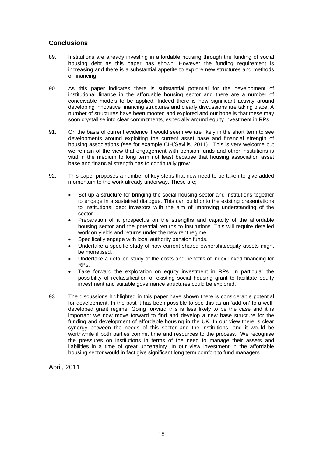# **Conclusions**

- 89. Institutions are already investing in affordable housing through the funding of social housing debt as this paper has shown. However the funding requirement is increasing and there is a substantial appetite to explore new structures and methods of financing.
- 90. As this paper indicates there is substantial potential for the development of institutional finance in the affordable housing sector and there are a number of conceivable models to be applied. Indeed there is now significant activity around developing innovative financing structures and clearly discussions are taking place. A number of structures have been mooted and explored and our hope is that these may soon crystallise into clear commitments, especially around equity investment in RPs.
- 91. On the basis of current evidence it would seem we are likely in the short term to see developments around exploiting the current asset base and financial strength of housing associations (see for example CIH/Savills, 2011). This is very welcome but we remain of the view that engagement with pension funds and other institutions is vital in the medium to long term not least because that housing association asset base and financial strength has to continually grow.
- 92. This paper proposes a number of key steps that now need to be taken to give added momentum to the work already underway. These are;
	- Set up a structure for bringing the social housing sector and institutions together to engage in a sustained dialogue. This can build onto the existing presentations to institutional debt investors with the aim of improving understanding of the sector.
	- Preparation of a prospectus on the strengths and capacity of the affordable housing sector and the potential returns to institutions. This will require detailed work on yields and returns under the new rent regime.
	- Specifically engage with local authority pension funds.
	- Undertake a specific study of how current shared ownership/equity assets might be monetised.
	- Undertake a detailed study of the costs and benefits of index linked financing for RPs.
	- Take forward the exploration on equity investment in RPs. In particular the possibility of reclassification of existing social housing grant to facilitate equity investment and suitable governance structures could be explored.
- 93. The discussions highlighted in this paper have shown there is considerable potential for development. In the past it has been possible to see this as an 'add on' to a welldeveloped grant regime. Going forward this is less likely to be the case and it is important we now move forward to find and develop a new base structure for the funding and development of affordable housing in the UK. In our view there is clear synergy between the needs of this sector and the institutions, and it would be worthwhile if both parties commit time and resources to the process. We recognise the pressures on institutions in terms of the need to manage their assets and liabilities in a time of great uncertainty. In our view investment in the affordable housing sector would in fact give significant long term comfort to fund managers.

April, 2011